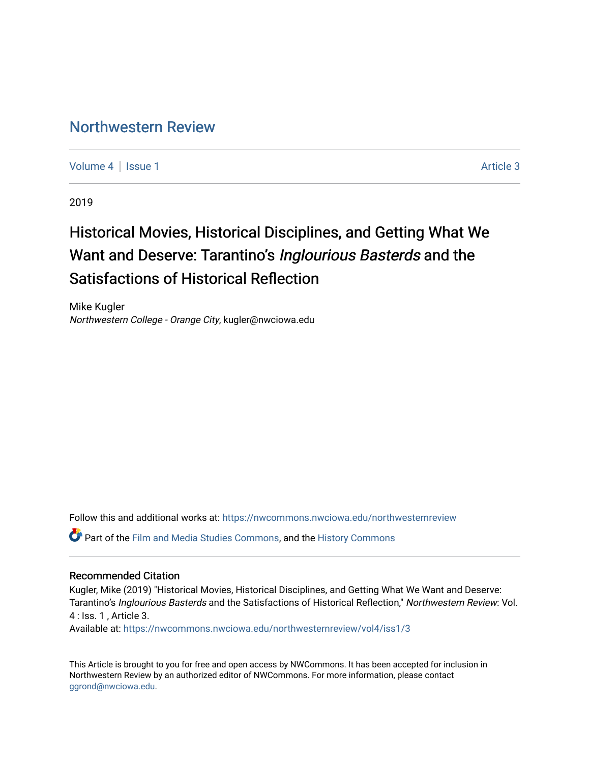# [Northwestern Review](https://nwcommons.nwciowa.edu/northwesternreview)

[Volume 4](https://nwcommons.nwciowa.edu/northwesternreview/vol4) | [Issue 1](https://nwcommons.nwciowa.edu/northwesternreview/vol4/iss1) Article 3

2019

# Historical Movies, Historical Disciplines, and Getting What We Want and Deserve: Tarantino's Inglourious Basterds and the Satisfactions of Historical Reflection

Mike Kugler Northwestern College - Orange City, kugler@nwciowa.edu

Follow this and additional works at: [https://nwcommons.nwciowa.edu/northwesternreview](https://nwcommons.nwciowa.edu/northwesternreview?utm_source=nwcommons.nwciowa.edu%2Fnorthwesternreview%2Fvol4%2Fiss1%2F3&utm_medium=PDF&utm_campaign=PDFCoverPages) 

Part of the [Film and Media Studies Commons,](http://network.bepress.com/hgg/discipline/563?utm_source=nwcommons.nwciowa.edu%2Fnorthwesternreview%2Fvol4%2Fiss1%2F3&utm_medium=PDF&utm_campaign=PDFCoverPages) and the [History Commons](http://network.bepress.com/hgg/discipline/489?utm_source=nwcommons.nwciowa.edu%2Fnorthwesternreview%2Fvol4%2Fiss1%2F3&utm_medium=PDF&utm_campaign=PDFCoverPages)

#### Recommended Citation

Kugler, Mike (2019) "Historical Movies, Historical Disciplines, and Getting What We Want and Deserve: Tarantino's Inglourious Basterds and the Satisfactions of Historical Reflection," Northwestern Review: Vol. 4 : Iss. 1 , Article 3.

Available at: [https://nwcommons.nwciowa.edu/northwesternreview/vol4/iss1/3](https://nwcommons.nwciowa.edu/northwesternreview/vol4/iss1/3?utm_source=nwcommons.nwciowa.edu%2Fnorthwesternreview%2Fvol4%2Fiss1%2F3&utm_medium=PDF&utm_campaign=PDFCoverPages)

This Article is brought to you for free and open access by NWCommons. It has been accepted for inclusion in Northwestern Review by an authorized editor of NWCommons. For more information, please contact [ggrond@nwciowa.edu.](mailto:ggrond@nwciowa.edu)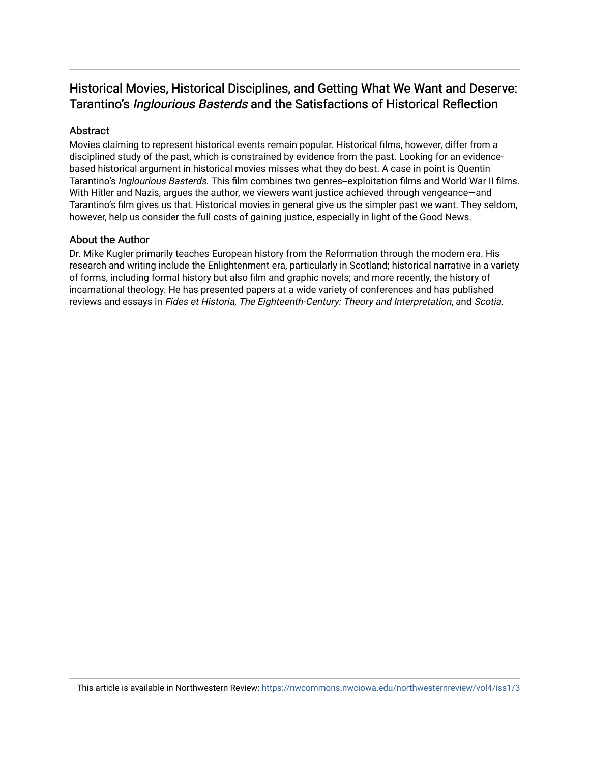## Historical Movies, Historical Disciplines, and Getting What We Want and Deserve: Tarantino's Inglourious Basterds and the Satisfactions of Historical Reflection

### Abstract

Movies claiming to represent historical events remain popular. Historical films, however, differ from a disciplined study of the past, which is constrained by evidence from the past. Looking for an evidencebased historical argument in historical movies misses what they do best. A case in point is Quentin Tarantino's Inglourious Basterds. This film combines two genres--exploitation films and World War II films. With Hitler and Nazis, argues the author, we viewers want justice achieved through vengeance—and Tarantino's film gives us that. Historical movies in general give us the simpler past we want. They seldom, however, help us consider the full costs of gaining justice, especially in light of the Good News.

#### About the Author

Dr. Mike Kugler primarily teaches European history from the Reformation through the modern era. His research and writing include the Enlightenment era, particularly in Scotland; historical narrative in a variety of forms, including formal history but also film and graphic novels; and more recently, the history of incarnational theology. He has presented papers at a wide variety of conferences and has published reviews and essays in Fides et Historia, The Eighteenth-Century: Theory and Interpretation, and Scotia.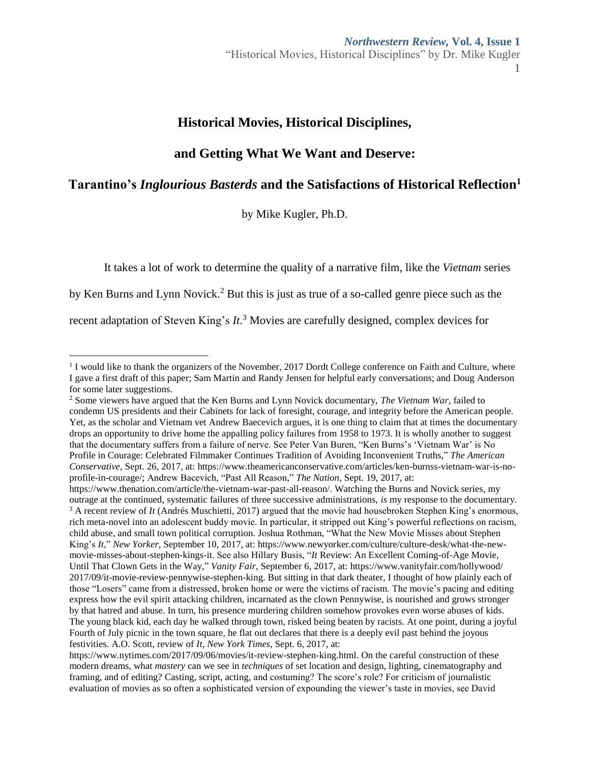### **Historical Movies, Historical Disciplines,**

### **and Getting What We Want and Deserve:**

### **Tarantino's** *Inglourious Basterds* **and the Satisfactions of Historical Reflection<sup>1</sup>**

by Mike Kugler, Ph.D.

It takes a lot of work to determine the quality of a narrative film, like the *Vietnam* series

by Ken Burns and Lynn Novick.<sup>2</sup> But this is just as true of a so-called genre piece such as the

recent adaptation of Steven King's *It*. <sup>3</sup> Movies are carefully designed, complex devices for

<sup>&</sup>lt;sup>1</sup> I would like to thank the organizers of the November, 2017 Dordt College conference on Faith and Culture, where I gave a first draft of this paper; Sam Martin and Randy Jensen for helpful early conversations; and Doug Anderson for some later suggestions.

<sup>2</sup> Some viewers have argued that the Ken Burns and Lynn Novick documentary, *The Vietnam War*, failed to condemn US presidents and their Cabinets for lack of foresight, courage, and integrity before the American people. Yet, as the scholar and Vietnam vet Andrew Baecevich argues, it is one thing to claim that at times the documentary drops an opportunity to drive home the appalling policy failures from 1958 to 1973. It is wholly another to suggest that the documentary suffers from a failure of nerve. See Peter Van Buren, "Ken Burns's 'Vietnam War' is No Profile in Courage: Celebrated Filmmaker Continues Tradition of Avoiding Inconvenient Truths," *The American Conservative*, Sept. 26, 2017, at: [https://www.theamericanconservative.com/articles/ken-burnss-vietnam-war-is-no](https://www.theamericanconservative.com/articles/ken-burnss-vietnam-war-is-no-profile-in-courage/)[profile-in-courage/;](https://www.theamericanconservative.com/articles/ken-burnss-vietnam-war-is-no-profile-in-courage/) Andrew Bacevich, "Past All Reason," *The Nation*, Sept. 19, 2017, at:

[https://www.thenation.com/article/the-vietnam-war-past-all-reason/.](https://www.thenation.com/article/the-vietnam-war-past-all-reason/) Watching the Burns and Novick series, my outrage at the continued, systematic failures of three successive administrations, *is* my response to the documentary. <sup>3</sup> A recent review of *It* (Andrés Muschietti, 2017) argued that the movie had housebroken Stephen King's enormous, rich meta-novel into an adolescent buddy movie. In particular, it stripped out King's powerful reflections on racism, child abuse, and small town political corruption. Joshua Rothman, "What the New Movie Misses about Stephen King's *It*," *New Yorker*, September 10, 2017, at: [https://www.newyorker.com/culture/culture-desk/what-the-new](https://www.newyorker.com/culture/culture-desk/what-the-new-movie-misses-about-stephen-kings-it)[movie-misses-about-stephen-kings-it.](https://www.newyorker.com/culture/culture-desk/what-the-new-movie-misses-about-stephen-kings-it) See also Hillary Busis, "*It* Review: An Excellent Coming-of-Age Movie, Until That Clown Gets in the Way," *Vanity Fair*, September 6, 2017, at: [https://www.vanityfair.com/hollywood/](https://www.vanityfair.com/hollywood/2017/09/it-movie-review-pennywise-stephen-king) [2017/09/it-movie-review-pennywise-stephen-king.](https://www.vanityfair.com/hollywood/2017/09/it-movie-review-pennywise-stephen-king) But sitting in that dark theater, I thought of how plainly each of those "Losers" came from a distressed, broken home or were the victims of racism. The movie's pacing and editing express how the evil spirit attacking children, incarnated as the clown Pennywise, is nourished and grows stronger by that hatred and abuse. In turn, his presence murdering children somehow provokes even worse abuses of kids. The young black kid, each day he walked through town, risked being beaten by racists. At one point, during a joyful Fourth of July picnic in the town square, he flat out declares that there is a deeply evil past behind the joyous festivities. A.O. Scott, review of *It*, *New York Times*, Sept. 6, 2017, at:

[https://www.nytimes.com/2017/09/06/movies/it-review-stephen-king.html.](https://www.nytimes.com/2017/09/06/movies/it-review-stephen-king.html) On the careful construction of these modern dreams, what *mastery* can we see in *techniques* of set location and design, lighting, cinematography and framing, and of editing? Casting, script, acting, and costuming? The score's role? For criticism of journalistic evaluation of movies as so often a sophisticated version of expounding the viewer's taste in movies, see David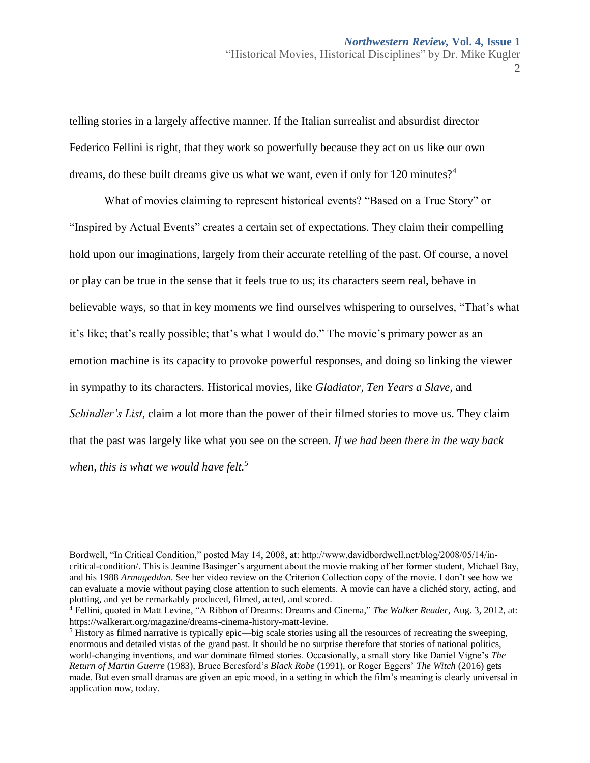telling stories in a largely affective manner. If the Italian surrealist and absurdist director Federico Fellini is right, that they work so powerfully because they act on us like our own dreams, do these built dreams give us what we want, even if only for 120 minutes?<sup>4</sup>

What of movies claiming to represent historical events? "Based on a True Story" or "Inspired by Actual Events" creates a certain set of expectations. They claim their compelling hold upon our imaginations, largely from their accurate retelling of the past. Of course, a novel or play can be true in the sense that it feels true to us; its characters seem real, behave in believable ways, so that in key moments we find ourselves whispering to ourselves, "That's what it's like; that's really possible; that's what I would do." The movie's primary power as an emotion machine is its capacity to provoke powerful responses, and doing so linking the viewer in sympathy to its characters. Historical movies, like *Gladiator, Ten Years a Slave,* and *Schindler's List*, claim a lot more than the power of their filmed stories to move us. They claim that the past was largely like what you see on the screen. *If we had been there in the way back when, this is what we would have felt.<sup>5</sup>*

Bordwell, "In Critical Condition," posted May 14, 2008, at: http://www.davidbordwell.net/blog/2008/05/14/incritical-condition/. This is Jeanine Basinger's argument about the movie making of her former student, Michael Bay, and his 1988 *Armageddon*. See her video review on the Criterion Collection copy of the movie. I don't see how we can evaluate a movie without paying close attention to such elements. A movie can have a clichéd story, acting, and plotting, and yet be remarkably produced, filmed, acted, and scored.

<sup>4</sup> Fellini, quoted in Matt Levine, "A Ribbon of Dreams: Dreams and Cinema," *The Walker Reader*, Aug. 3, 2012, at: [https://walkerart.org/magazine/dreams-cinema-history-matt-levine.](https://walkerart.org/magazine/dreams-cinema-history-matt-levine)

 $<sup>5</sup>$  History as filmed narrative is typically epic—big scale stories using all the resources of recreating the sweeping,</sup> enormous and detailed vistas of the grand past. It should be no surprise therefore that stories of national politics, world-changing inventions, and war dominate filmed stories. Occasionally, a small story like Daniel Vigne's *The Return of Martin Guerre* (1983), Bruce Beresford's *Black Robe* (1991), or Roger Eggers' *The Witch* (2016) gets made. But even small dramas are given an epic mood, in a setting in which the film's meaning is clearly universal in application now, today.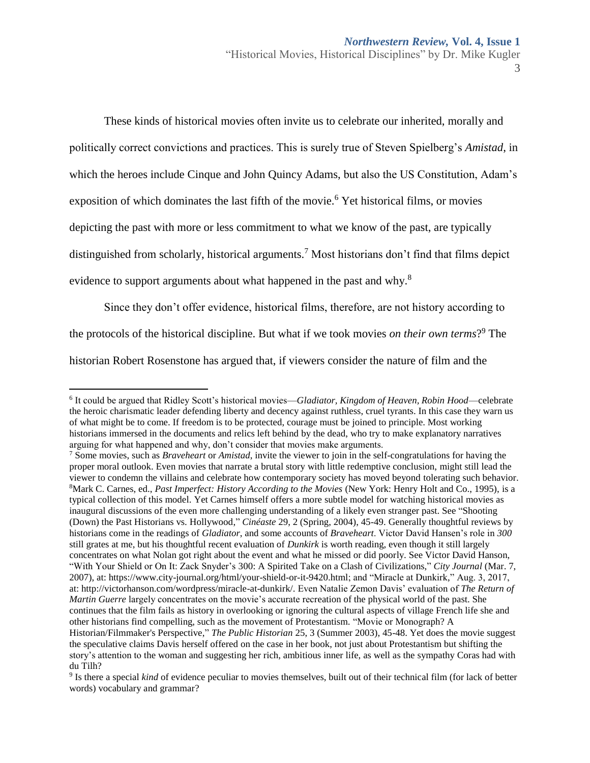These kinds of historical movies often invite us to celebrate our inherited, morally and politically correct convictions and practices. This is surely true of Steven Spielberg's *Amistad*, in which the heroes include Cinque and John Quincy Adams, but also the US Constitution, Adam's exposition of which dominates the last fifth of the movie.<sup>6</sup> Yet historical films, or movies depicting the past with more or less commitment to what we know of the past, are typically distinguished from scholarly, historical arguments.<sup>7</sup> Most historians don't find that films depict evidence to support arguments about what happened in the past and why.<sup>8</sup>

Since they don't offer evidence, historical films, therefore, are not history according to the protocols of the historical discipline. But what if we took movies *on their own terms*? <sup>9</sup> The historian Robert Rosenstone has argued that, if viewers consider the nature of film and the

<sup>6</sup> It could be argued that Ridley Scott's historical movies—*Gladiator, Kingdom of Heaven, Robin Hood*—celebrate the heroic charismatic leader defending liberty and decency against ruthless, cruel tyrants. In this case they warn us of what might be to come. If freedom is to be protected, courage must be joined to principle. Most working historians immersed in the documents and relics left behind by the dead, who try to make explanatory narratives arguing for what happened and why, don't consider that movies make arguments.

<sup>7</sup> Some movies, such as *Braveheart* or *Amistad*, invite the viewer to join in the self-congratulations for having the proper moral outlook. Even movies that narrate a brutal story with little redemptive conclusion, might still lead the viewer to condemn the villains and celebrate how contemporary society has moved beyond tolerating such behavior. <sup>8</sup>Mark C. Carnes, ed., *Past Imperfect: History According to the Movies* (New York: Henry Holt and Co., 1995), is a typical collection of this model. Yet Carnes himself offers a more subtle model for watching historical movies as inaugural discussions of the even more challenging understanding of a likely even stranger past. See "Shooting (Down) the Past Historians vs. Hollywood," *Cinéaste* 29, 2 (Spring, 2004), 45-49. Generally thoughtful reviews by historians come in the readings of *Gladiator*, and some accounts of *Braveheart*. Victor David Hansen's role in *300* still grates at me, but his thoughtful recent evaluation of *Dunkirk* is worth reading, even though it still largely concentrates on what Nolan got right about the event and what he missed or did poorly. See Victor David Hanson, "With Your Shield or On It: Zack Snyder's 300: A Spirited Take on a Clash of Civilizations," *City Journal* (Mar. 7, 2007), at: [https://www.city-journal.org/html/your-shield-or-it-9420.html;](https://www.city-journal.org/html/your-shield-or-it-9420.html) and "Miracle at Dunkirk," Aug. 3, 2017, at: http://victorhanson.com/wordpress/miracle-at-dunkirk/. Even Natalie Zemon Davis' evaluation of *The Return of Martin Guerre* largely concentrates on the movie's accurate recreation of the physical world of the past. She continues that the film fails as history in overlooking or ignoring the cultural aspects of village French life she and other historians find compelling, such as the movement of Protestantism. "Movie or Monograph? A Historian/Filmmaker's Perspective," *The Public Historian* 25, 3 (Summer 2003), 45-48. Yet does the movie suggest the speculative claims Davis herself offered on the case in her book, not just about Protestantism but shifting the story's attention to the woman and suggesting her rich, ambitious inner life, as well as the sympathy Coras had with du Tilh?

<sup>&</sup>lt;sup>9</sup> Is there a special *kind* of evidence peculiar to movies themselves, built out of their technical film (for lack of better words) vocabulary and grammar?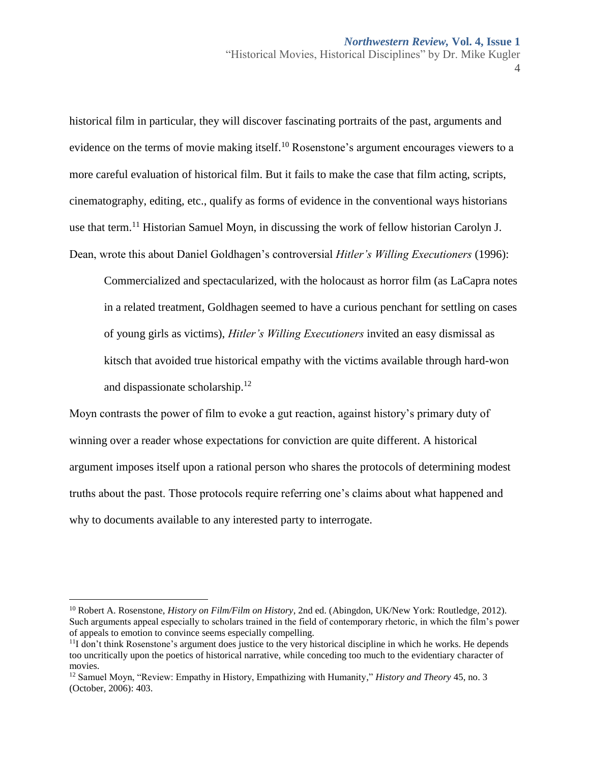historical film in particular, they will discover fascinating portraits of the past, arguments and evidence on the terms of movie making itself.<sup>10</sup> Rosenstone's argument encourages viewers to a more careful evaluation of historical film. But it fails to make the case that film acting, scripts, cinematography, editing, etc., qualify as forms of evidence in the conventional ways historians use that term.<sup>11</sup> Historian Samuel Moyn, in discussing the work of fellow historian Carolyn J. Dean, wrote this about Daniel Goldhagen's controversial *Hitler's Willing Executioners* (1996):

Commercialized and spectacularized, with the holocaust as horror film (as LaCapra notes in a related treatment, Goldhagen seemed to have a curious penchant for settling on cases of young girls as victims), *Hitler's Willing Executioners* invited an easy dismissal as kitsch that avoided true historical empathy with the victims available through hard-won and dispassionate scholarship.<sup>12</sup>

Moyn contrasts the power of film to evoke a gut reaction, against history's primary duty of winning over a reader whose expectations for conviction are quite different. A historical argument imposes itself upon a rational person who shares the protocols of determining modest truths about the past. Those protocols require referring one's claims about what happened and why to documents available to any interested party to interrogate.

<sup>10</sup> Robert A. Rosenstone, *History on Film/Film on History*, 2nd ed. (Abingdon, UK/New York: Routledge, 2012). Such arguments appeal especially to scholars trained in the field of contemporary rhetoric, in which the film's power of appeals to emotion to convince seems especially compelling.

 $<sup>11</sup>I$  don't think Rosenstone's argument does justice to the very historical discipline in which he works. He depends</sup> too uncritically upon the poetics of historical narrative, while conceding too much to the evidentiary character of movies.

<sup>12</sup> Samuel Moyn, "Review: Empathy in History, Empathizing with Humanity," *History and Theory* 45, no. 3 (October, 2006): 403.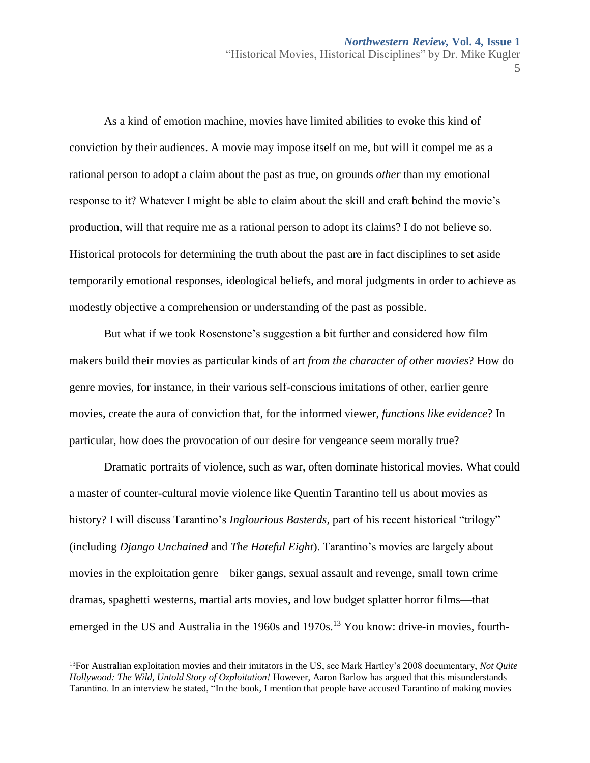As a kind of emotion machine, movies have limited abilities to evoke this kind of conviction by their audiences. A movie may impose itself on me, but will it compel me as a rational person to adopt a claim about the past as true, on grounds *other* than my emotional response to it? Whatever I might be able to claim about the skill and craft behind the movie's production, will that require me as a rational person to adopt its claims? I do not believe so. Historical protocols for determining the truth about the past are in fact disciplines to set aside temporarily emotional responses, ideological beliefs, and moral judgments in order to achieve as modestly objective a comprehension or understanding of the past as possible.

But what if we took Rosenstone's suggestion a bit further and considered how film makers build their movies as particular kinds of art *from the character of other movies*? How do genre movies, for instance, in their various self-conscious imitations of other, earlier genre movies, create the aura of conviction that, for the informed viewer, *functions like evidence*? In particular, how does the provocation of our desire for vengeance seem morally true?

Dramatic portraits of violence, such as war, often dominate historical movies. What could a master of counter-cultural movie violence like Quentin Tarantino tell us about movies as history? I will discuss Tarantino's *Inglourious Basterds,* part of his recent historical "trilogy" (including *Django Unchained* and *The Hateful Eight*). Tarantino's movies are largely about movies in the exploitation genre—biker gangs, sexual assault and revenge, small town crime dramas, spaghetti westerns, martial arts movies, and low budget splatter horror films—that emerged in the US and Australia in the 1960s and  $1970s$ <sup>13</sup> You know: drive-in movies, fourth-

<sup>13</sup>For Australian exploitation movies and their imitators in the US, see Mark Hartley's 2008 documentary, *Not Quite Hollywood: The Wild, Untold Story of Ozploitation!* However, Aaron Barlow has argued that this misunderstands Tarantino. In an interview he stated, "In the book, I mention that people have accused Tarantino of making movies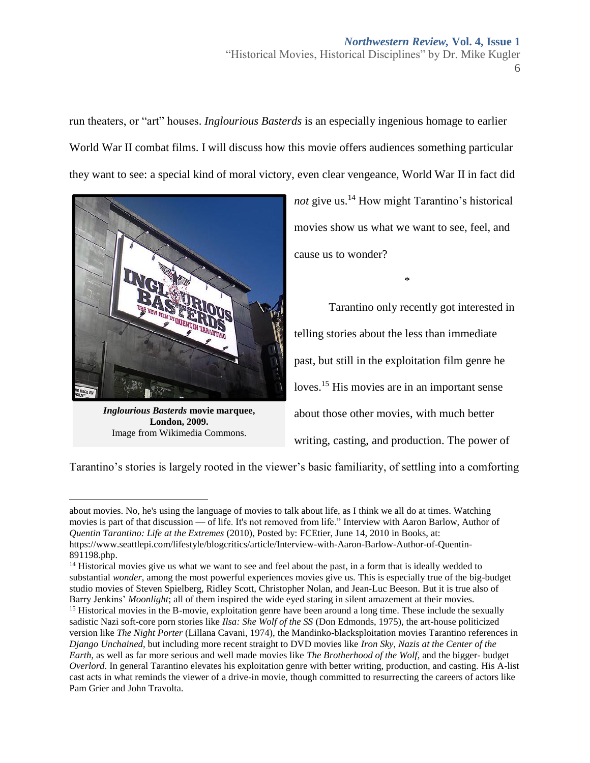# *Northwestern Review,* **Vol. 4, Issue 1** "Historical Movies, Historical Disciplines" by Dr. Mike Kugler

6

run theaters, or "art" houses. *Inglourious Basterds* is an especially ingenious homage to earlier World War II combat films. I will discuss how this movie offers audiences something particular they want to see: a special kind of moral victory, even clear vengeance, World War II in fact did



*Inglourious Basterds* **movie marquee, London, 2009.**  Image fro[m Wikimedia Commons.](https://creativecommons.org/licenses/by/2.0/deed.en)

 $\overline{a}$ 

*not* give us.<sup>14</sup> How might Tarantino's historical movies show us what we want to see, feel, and cause us to wonder?

\*

Tarantino only recently got interested in telling stories about the less than immediate past, but still in the exploitation film genre he loves.<sup>15</sup> His movies are in an important sense about those other movies, with much better writing, casting, and production. The power of

Tarantino's stories is largely rooted in the viewer's basic familiarity, of settling into a comforting

about movies. No, he's using the language of movies to talk about life, as I think we all do at times. Watching movies is part of that discussion — of life. It's not removed from life." Interview with Aaron Barlow, Author of *Quentin Tarantino: Life at the Extremes* (2010), Posted by: [FCEtier, J](file://///micah/staffshr/Library/Institutional%20Repository/Northwestern%20Review/Submissions,%20Volume%204/Kugler,%20Mike/FCEtier,%20)une 14, 2010 i[n Books,](http://blogcritics.org/category/books/) at: [https://www.seattlepi.com/lifestyle/blogcritics/article/Interview-with-Aaron-Barlow-Author-of-Quentin-](https://www.seattlepi.com/lifestyle/blogcritics/article/Interview-with-Aaron-Barlow-Author-of-Quentin-891198.php)[891198.php.](https://www.seattlepi.com/lifestyle/blogcritics/article/Interview-with-Aaron-Barlow-Author-of-Quentin-891198.php)

<sup>&</sup>lt;sup>14</sup> Historical movies give us what we want to see and feel about the past, in a form that is ideally wedded to substantial *wonder*, among the most powerful experiences movies give us. This is especially true of the big-budget studio movies of Steven Spielberg, Ridley Scott, Christopher Nolan, and Jean-Luc Beeson. But it is true also of Barry Jenkins' *Moonlight*; all of them inspired the wide eyed staring in silent amazement at their movies.

<sup>&</sup>lt;sup>15</sup> Historical movies in the B-movie, exploitation genre have been around a long time. These include the sexually sadistic Nazi soft-core porn stories like *Ilsa: She Wolf of the SS* (Don Edmonds, 1975), the art-house politicized version like *The Night Porter* (Lillana Cavani, 1974), the Mandinko-blacksploitation movies Tarantino references in *Django Unchained*, but including more recent straight to DVD movies like *Iron Sky, Nazis at the Center of the Earth*, as well as far more serious and well made movies like *The Brotherhood of the Wolf*, and the bigger- budget *Overlord*. In general Tarantino elevates his exploitation genre with better writing, production, and casting. His A-list cast acts in what reminds the viewer of a drive-in movie, though committed to resurrecting the careers of actors like Pam Grier and John Travolta.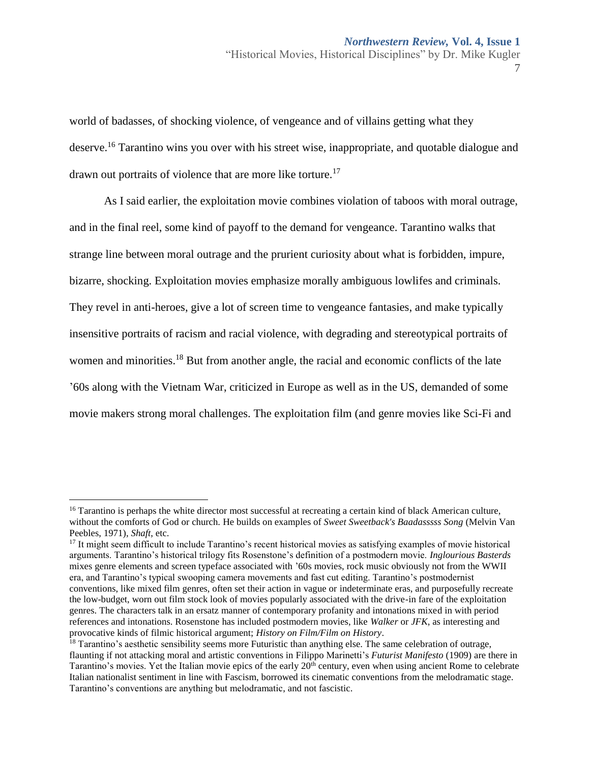world of badasses, of shocking violence, of vengeance and of villains getting what they deserve.<sup>16</sup> Tarantino wins you over with his street wise, inappropriate, and quotable dialogue and drawn out portraits of violence that are more like torture.<sup>17</sup>

As I said earlier, the exploitation movie combines violation of taboos with moral outrage, and in the final reel, some kind of payoff to the demand for vengeance. Tarantino walks that strange line between moral outrage and the prurient curiosity about what is forbidden, impure, bizarre, shocking. Exploitation movies emphasize morally ambiguous lowlifes and criminals. They revel in anti-heroes, give a lot of screen time to vengeance fantasies, and make typically insensitive portraits of racism and racial violence, with degrading and stereotypical portraits of women and minorities.<sup>18</sup> But from another angle, the racial and economic conflicts of the late '60s along with the Vietnam War, criticized in Europe as well as in the US, demanded of some movie makers strong moral challenges. The exploitation film (and genre movies like Sci-Fi and

<sup>&</sup>lt;sup>16</sup> Tarantino is perhaps the white director most successful at recreating a certain kind of black American culture, without the comforts of God or church. He builds on examples of *Sweet Sweetback's Baadasssss Song* (Melvin Van Peebles, 1971), *Shaft*, etc.

<sup>&</sup>lt;sup>17</sup> It might seem difficult to include Tarantino's recent historical movies as satisfying examples of movie historical arguments. Tarantino's historical trilogy fits Rosenstone's definition of a postmodern movie. *Inglourious Basterds* mixes genre elements and screen typeface associated with '60s movies, rock music obviously not from the WWII era, and Tarantino's typical swooping camera movements and fast cut editing. Tarantino's postmodernist conventions, like mixed film genres, often set their action in vague or indeterminate eras, and purposefully recreate the low-budget, worn out film stock look of movies popularly associated with the drive-in fare of the exploitation genres. The characters talk in an ersatz manner of contemporary profanity and intonations mixed in with period references and intonations. Rosenstone has included postmodern movies, like *Walker* or *JFK*, as interesting and provocative kinds of filmic historical argument; *History on Film/Film on History*.

<sup>&</sup>lt;sup>18</sup> Tarantino's aesthetic sensibility seems more Futuristic than anything else. The same celebration of outrage, flaunting if not attacking moral and artistic conventions in Filippo Marinetti's *Futurist Manifesto* (1909) are there in Tarantino's movies. Yet the Italian movie epics of the early 20<sup>th</sup> century, even when using ancient Rome to celebrate Italian nationalist sentiment in line with Fascism, borrowed its cinematic conventions from the melodramatic stage. Tarantino's conventions are anything but melodramatic, and not fascistic.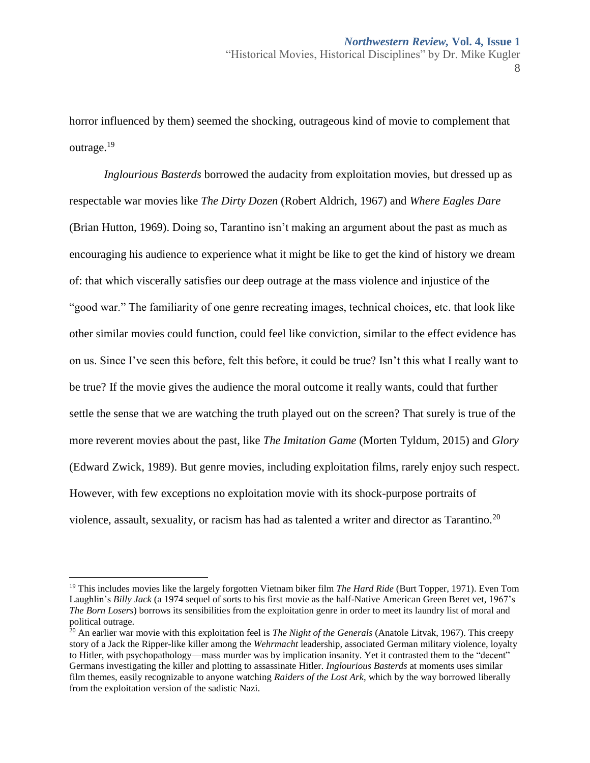horror influenced by them) seemed the shocking, outrageous kind of movie to complement that outrage.<sup>19</sup>

*Inglourious Basterds* borrowed the audacity from exploitation movies, but dressed up as respectable war movies like *The Dirty Dozen* (Robert Aldrich, 1967) and *Where Eagles Dare*  (Brian Hutton, 1969). Doing so, Tarantino isn't making an argument about the past as much as encouraging his audience to experience what it might be like to get the kind of history we dream of: that which viscerally satisfies our deep outrage at the mass violence and injustice of the "good war." The familiarity of one genre recreating images, technical choices, etc. that look like other similar movies could function, could feel like conviction, similar to the effect evidence has on us. Since I've seen this before, felt this before, it could be true? Isn't this what I really want to be true? If the movie gives the audience the moral outcome it really wants, could that further settle the sense that we are watching the truth played out on the screen? That surely is true of the more reverent movies about the past, like *The Imitation Game* (Morten Tyldum, 2015) and *Glory* (Edward Zwick, 1989). But genre movies, including exploitation films, rarely enjoy such respect. However, with few exceptions no exploitation movie with its shock-purpose portraits of violence, assault, sexuality, or racism has had as talented a writer and director as Tarantino.<sup>20</sup>

<sup>19</sup> This includes movies like the largely forgotten Vietnam biker film *The Hard Ride* (Burt Topper, 1971). Even Tom Laughlin's *Billy Jack* (a 1974 sequel of sorts to his first movie as the half-Native American Green Beret vet, 1967's *The Born Losers*) borrows its sensibilities from the exploitation genre in order to meet its laundry list of moral and political outrage.

<sup>&</sup>lt;sup>20</sup> An earlier war movie with this exploitation feel is *The Night of the Generals* (Anatole Litvak, 1967). This creepy story of a Jack the Ripper-like killer among the *Wehrmacht* leadership, associated German military violence, loyalty to Hitler, with psychopathology—mass murder was by implication insanity. Yet it contrasted them to the "decent" Germans investigating the killer and plotting to assassinate Hitler. *Inglourious Basterds* at moments uses similar film themes, easily recognizable to anyone watching *Raiders of the Lost Ark*, which by the way borrowed liberally from the exploitation version of the sadistic Nazi.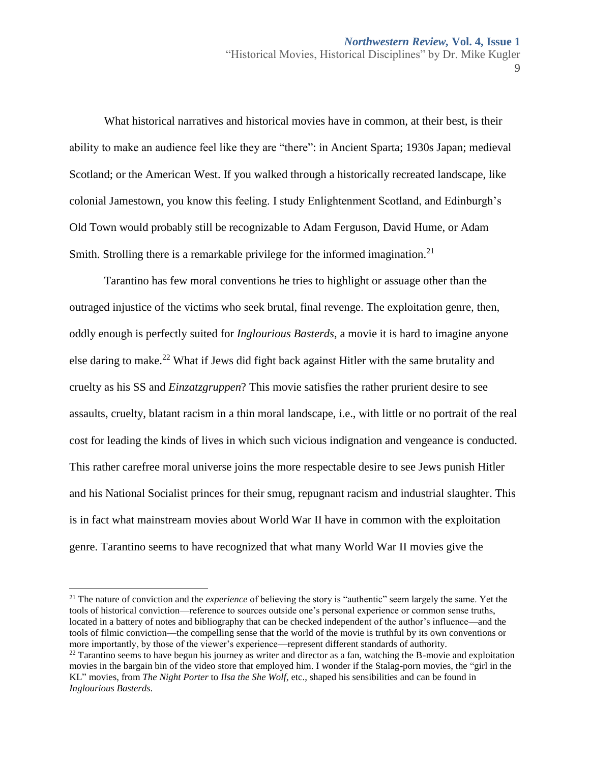$\overline{Q}$ 

What historical narratives and historical movies have in common, at their best, is their ability to make an audience feel like they are "there": in Ancient Sparta; 1930s Japan; medieval Scotland; or the American West. If you walked through a historically recreated landscape, like colonial Jamestown, you know this feeling. I study Enlightenment Scotland, and Edinburgh's Old Town would probably still be recognizable to Adam Ferguson, David Hume, or Adam Smith. Strolling there is a remarkable privilege for the informed imagination.<sup>21</sup>

Tarantino has few moral conventions he tries to highlight or assuage other than the outraged injustice of the victims who seek brutal, final revenge. The exploitation genre, then, oddly enough is perfectly suited for *Inglourious Basterds*, a movie it is hard to imagine anyone else daring to make.<sup>22</sup> What if Jews did fight back against Hitler with the same brutality and cruelty as his SS and *Einzatzgruppen*? This movie satisfies the rather prurient desire to see assaults, cruelty, blatant racism in a thin moral landscape, i.e., with little or no portrait of the real cost for leading the kinds of lives in which such vicious indignation and vengeance is conducted. This rather carefree moral universe joins the more respectable desire to see Jews punish Hitler and his National Socialist princes for their smug, repugnant racism and industrial slaughter. This is in fact what mainstream movies about World War II have in common with the exploitation genre. Tarantino seems to have recognized that what many World War II movies give the

<sup>&</sup>lt;sup>21</sup> The nature of conviction and the *experience* of believing the story is "authentic" seem largely the same. Yet the tools of historical conviction—reference to sources outside one's personal experience or common sense truths, located in a battery of notes and bibliography that can be checked independent of the author's influence—and the tools of filmic conviction—the compelling sense that the world of the movie is truthful by its own conventions or more importantly, by those of the viewer's experience—represent different standards of authority.

 $^{22}$  Tarantino seems to have begun his journey as writer and director as a fan, watching the B-movie and exploitation movies in the bargain bin of the video store that employed him. I wonder if the Stalag-porn movies, the "girl in the KL" movies, from *The Night Porter* to *Ilsa the She Wolf,* etc., shaped his sensibilities and can be found in *Inglourious Basterds*.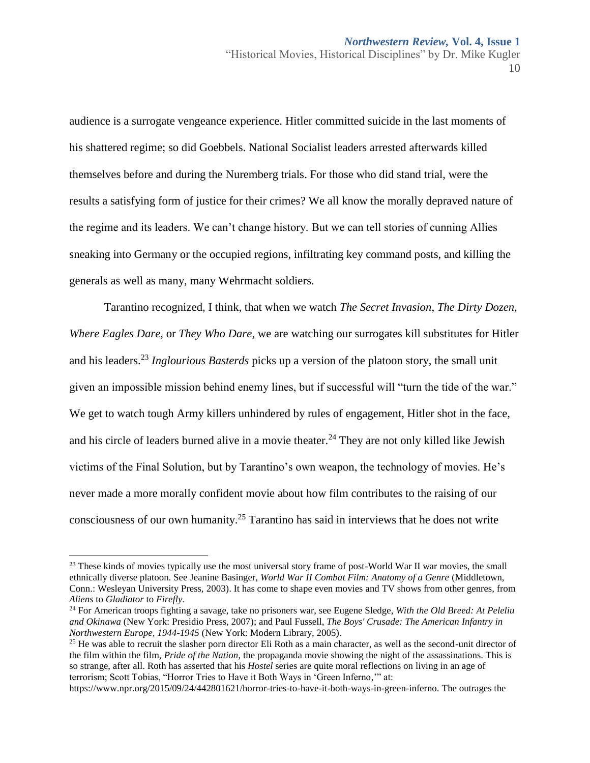audience is a surrogate vengeance experience. Hitler committed suicide in the last moments of his shattered regime; so did Goebbels. National Socialist leaders arrested afterwards killed themselves before and during the Nuremberg trials. For those who did stand trial, were the results a satisfying form of justice for their crimes? We all know the morally depraved nature of the regime and its leaders. We can't change history. But we can tell stories of cunning Allies sneaking into Germany or the occupied regions, infiltrating key command posts, and killing the generals as well as many, many Wehrmacht soldiers.

Tarantino recognized, I think, that when we watch *The Secret Invasion*, *The Dirty Dozen, Where Eagles Dare,* or *They Who Dare*, we are watching our surrogates kill substitutes for Hitler and his leaders.<sup>23</sup> *Inglourious Basterds* picks up a version of the platoon story, the small unit given an impossible mission behind enemy lines, but if successful will "turn the tide of the war." We get to watch tough Army killers unhindered by rules of engagement, Hitler shot in the face, and his circle of leaders burned alive in a movie theater.<sup>24</sup> They are not only killed like Jewish victims of the Final Solution, but by Tarantino's own weapon, the technology of movies. He's never made a more morally confident movie about how film contributes to the raising of our consciousness of our own humanity.<sup>25</sup> Tarantino has said in interviews that he does not write

 $^{23}$  These kinds of movies typically use the most universal story frame of post-World War II war movies, the small ethnically diverse platoon. See Jeanine Basinger, *World War II Combat Film: Anatomy of a Genre* (Middletown, Conn.: Wesleyan University Press, 2003). It has come to shape even movies and TV shows from other genres, from *Aliens* to *Gladiator* to *Firefly*.

<sup>24</sup> For American troops fighting a savage, take no prisoners war, see Eugene Sledge, *With the Old Breed: At Peleliu and Okinawa* (New York: Presidio Press, 2007); and Paul Fussell, *The Boys' Crusade: The American Infantry in Northwestern Europe, 1944-1945* (New York: Modern Library, 2005).

<sup>&</sup>lt;sup>25</sup> He was able to recruit the slasher porn director Eli Roth as a main character, as well as the second-unit director of the film within the film, *Pride of the Nation*, the propaganda movie showing the night of the assassinations. This is so strange, after all. Roth has asserted that his *Hostel* series are quite moral reflections on living in an age of terrorism; Scott Tobias, "Horror Tries to Have it Both Ways in 'Green Inferno,'" at:

[https://www.npr.org/2015/09/24/442801621/horror-tries-to-have-it-both-ways-in-green-inferno.](https://www.npr.org/2015/09/24/442801621/horror-tries-to-have-it-both-ways-in-green-inferno) The outrages the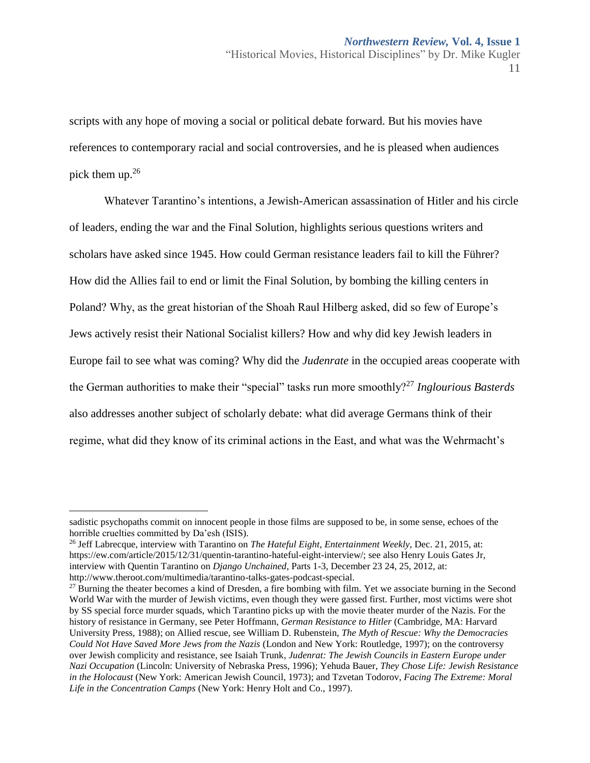scripts with any hope of moving a social or political debate forward. But his movies have references to contemporary racial and social controversies, and he is pleased when audiences pick them up.<sup>26</sup>

Whatever Tarantino's intentions, a Jewish-American assassination of Hitler and his circle of leaders, ending the war and the Final Solution, highlights serious questions writers and scholars have asked since 1945. How could German resistance leaders fail to kill the Führer? How did the Allies fail to end or limit the Final Solution, by bombing the killing centers in Poland? Why, as the great historian of the Shoah Raul Hilberg asked, did so few of Europe's Jews actively resist their National Socialist killers? How and why did key Jewish leaders in Europe fail to see what was coming? Why did the *Judenrate* in the occupied areas cooperate with the German authorities to make their "special" tasks run more smoothly?<sup>27</sup> *Inglourious Basterds* also addresses another subject of scholarly debate: what did average Germans think of their regime, what did they know of its criminal actions in the East, and what was the Wehrmacht's

sadistic psychopaths commit on innocent people in those films are supposed to be, in some sense, echoes of the horrible cruelties committed by Da'esh (ISIS).

<sup>26</sup> Jeff Labrecque, interview with Tarantino on *The Hateful Eight*, *Entertainment Weekly*, Dec. 21, 2015, at: [https://ew.com/article/2015/12/31/quentin-tarantino-hateful-eight-interview/;](https://ew.com/article/2015/12/31/quentin-tarantino-hateful-eight-interview/) see also Henry Louis Gates Jr, interview with Quentin Tarantino on *Django Unchained*, Parts 1-3, December 23 24, 25, 2012, at: [http://www.theroot.com/multimedia/tarantino-talks-gates-podcast-special.](http://www.theroot.com/multimedia/tarantino-talks-gates-podcast-special)

<sup>&</sup>lt;sup>27</sup> Burning the theater becomes a kind of Dresden, a fire bombing with film. Yet we associate burning in the Second World War with the murder of Jewish victims, even though they were gassed first. Further, most victims were shot by SS special force murder squads, which Tarantino picks up with the movie theater murder of the Nazis. For the history of resistance in Germany, see Peter Hoffmann, *German Resistance to Hitler* (Cambridge, MA: Harvard University Press, 1988); on Allied rescue, see William D. Rubenstein, *The Myth of Rescue: Why the Democracies Could Not Have Saved More Jews from the Nazis* (London and New York: Routledge, 1997); on the controversy over Jewish complicity and resistance, see Isaiah Trunk, *Judenrat: The Jewish Councils in Eastern Europe under Nazi Occupation* (Lincoln: University of Nebraska Press, 1996); Yehuda Bauer, *They Chose Life: Jewish Resistance in the Holocaust* (New York: American Jewish Council, 1973); and Tzvetan Todorov, *Facing The Extreme: Moral Life in the Concentration Camps* (New York: Henry Holt and Co., 1997).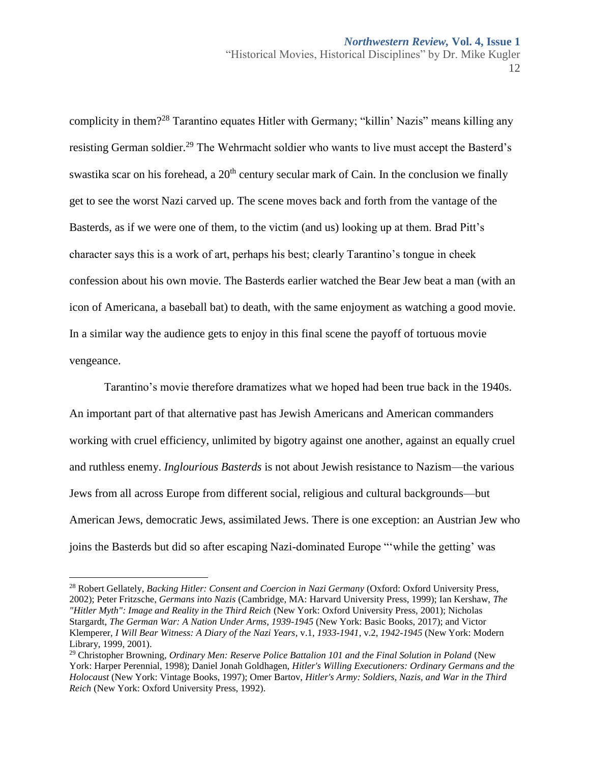complicity in them?<sup>28</sup> Tarantino equates Hitler with Germany; "killin' Nazis" means killing any resisting German soldier.<sup>29</sup> The Wehrmacht soldier who wants to live must accept the Basterd's swastika scar on his forehead, a  $20<sup>th</sup>$  century secular mark of Cain. In the conclusion we finally get to see the worst Nazi carved up. The scene moves back and forth from the vantage of the Basterds, as if we were one of them, to the victim (and us) looking up at them. Brad Pitt's character says this is a work of art, perhaps his best; clearly Tarantino's tongue in cheek confession about his own movie. The Basterds earlier watched the Bear Jew beat a man (with an icon of Americana, a baseball bat) to death, with the same enjoyment as watching a good movie. In a similar way the audience gets to enjoy in this final scene the payoff of tortuous movie vengeance.

Tarantino's movie therefore dramatizes what we hoped had been true back in the 1940s. An important part of that alternative past has Jewish Americans and American commanders working with cruel efficiency, unlimited by bigotry against one another, against an equally cruel and ruthless enemy. *Inglourious Basterds* is not about Jewish resistance to Nazism—the various Jews from all across Europe from different social, religious and cultural backgrounds—but American Jews, democratic Jews, assimilated Jews. There is one exception: an Austrian Jew who joins the Basterds but did so after escaping Nazi-dominated Europe "ʻwhile the getting' was

 $\overline{a}$ <sup>28</sup> Robert Gellately, *Backing Hitler: Consent and Coercion in Nazi Germany* (Oxford: Oxford University Press, 2002); Peter Fritzsche, *Germans into Nazis* (Cambridge, MA: Harvard University Press, 1999); Ian Kershaw, *The "Hitler Myth": Image and Reality in the Third Reich* (New York: Oxford University Press, 2001); Nicholas Stargardt, *The German War: A Nation Under Arms, 1939-1945* (New York: Basic Books, 2017); and Victor Klemperer, *I Will Bear Witness: A Diary of the Nazi Years*, v.1, *1933-1941*, v.2, *1942-1945* (New York: Modern Library, 1999, 2001).

<sup>29</sup> Christopher Browning, *Ordinary Men: Reserve Police Battalion 101 and the Final Solution in Poland* (New York: Harper Perennial, 1998); Daniel Jonah Goldhagen, *Hitler's Willing Executioners: Ordinary Germans and the Holocaust* (New York: Vintage Books, 1997); Omer Bartov, *Hitler's Army: Soldiers, Nazis, and War in the Third Reich* (New York: Oxford University Press, 1992).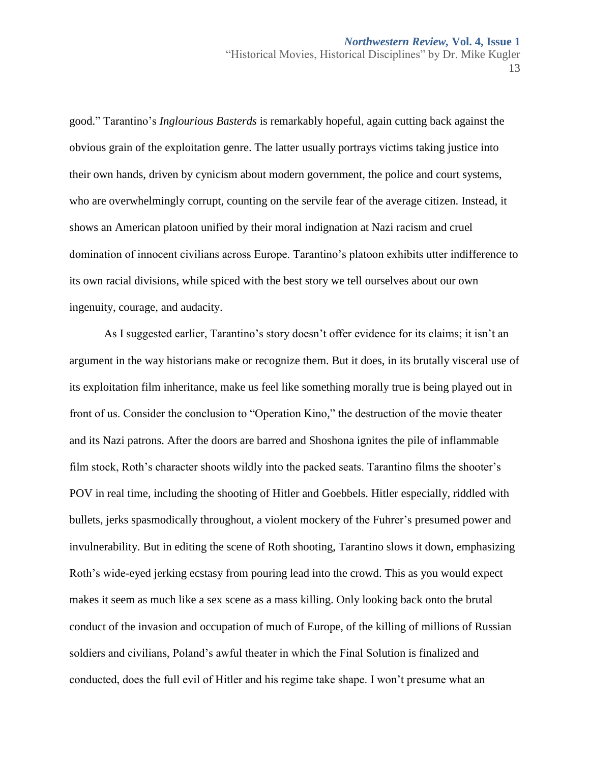good." Tarantino's *Inglourious Basterds* is remarkably hopeful, again cutting back against the obvious grain of the exploitation genre. The latter usually portrays victims taking justice into their own hands, driven by cynicism about modern government, the police and court systems, who are overwhelmingly corrupt, counting on the servile fear of the average citizen. Instead, it shows an American platoon unified by their moral indignation at Nazi racism and cruel domination of innocent civilians across Europe. Tarantino's platoon exhibits utter indifference to its own racial divisions, while spiced with the best story we tell ourselves about our own ingenuity, courage, and audacity.

As I suggested earlier, Tarantino's story doesn't offer evidence for its claims; it isn't an argument in the way historians make or recognize them. But it does, in its brutally visceral use of its exploitation film inheritance, make us feel like something morally true is being played out in front of us. Consider the conclusion to "Operation Kino," the destruction of the movie theater and its Nazi patrons. After the doors are barred and Shoshona ignites the pile of inflammable film stock, Roth's character shoots wildly into the packed seats. Tarantino films the shooter's POV in real time, including the shooting of Hitler and Goebbels. Hitler especially, riddled with bullets, jerks spasmodically throughout, a violent mockery of the Fuhrer's presumed power and invulnerability. But in editing the scene of Roth shooting, Tarantino slows it down, emphasizing Roth's wide-eyed jerking ecstasy from pouring lead into the crowd. This as you would expect makes it seem as much like a sex scene as a mass killing. Only looking back onto the brutal conduct of the invasion and occupation of much of Europe, of the killing of millions of Russian soldiers and civilians, Poland's awful theater in which the Final Solution is finalized and conducted, does the full evil of Hitler and his regime take shape. I won't presume what an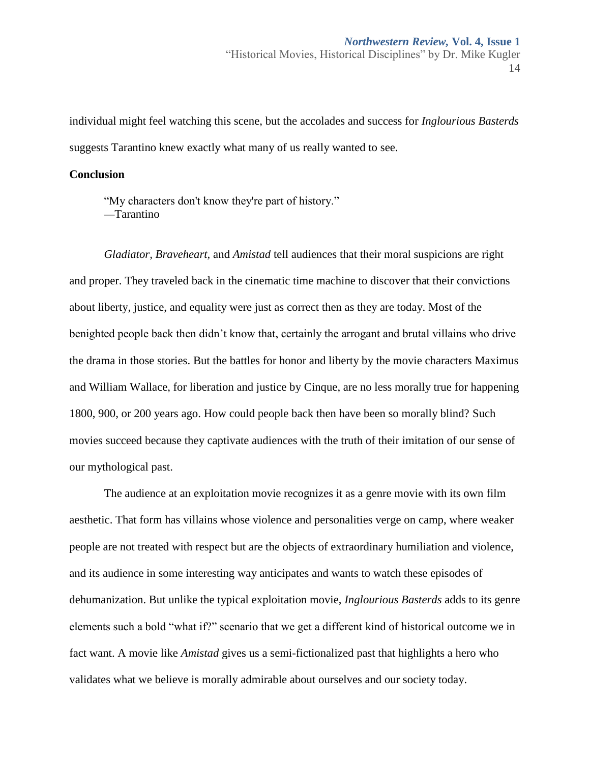individual might feel watching this scene, but the accolades and success for *Inglourious Basterds* suggests Tarantino knew exactly what many of us really wanted to see.

#### **Conclusion**

"My characters don't know they're part of history." —Tarantino

*Gladiator, Braveheart,* and *Amistad* tell audiences that their moral suspicions are right and proper. They traveled back in the cinematic time machine to discover that their convictions about liberty, justice, and equality were just as correct then as they are today. Most of the benighted people back then didn't know that, certainly the arrogant and brutal villains who drive the drama in those stories. But the battles for honor and liberty by the movie characters Maximus and William Wallace, for liberation and justice by Cinque, are no less morally true for happening 1800, 900, or 200 years ago. How could people back then have been so morally blind? Such movies succeed because they captivate audiences with the truth of their imitation of our sense of our mythological past.

The audience at an exploitation movie recognizes it as a genre movie with its own film aesthetic. That form has villains whose violence and personalities verge on camp, where weaker people are not treated with respect but are the objects of extraordinary humiliation and violence, and its audience in some interesting way anticipates and wants to watch these episodes of dehumanization. But unlike the typical exploitation movie, *Inglourious Basterds* adds to its genre elements such a bold "what if?" scenario that we get a different kind of historical outcome we in fact want. A movie like *Amistad* gives us a semi-fictionalized past that highlights a hero who validates what we believe is morally admirable about ourselves and our society today.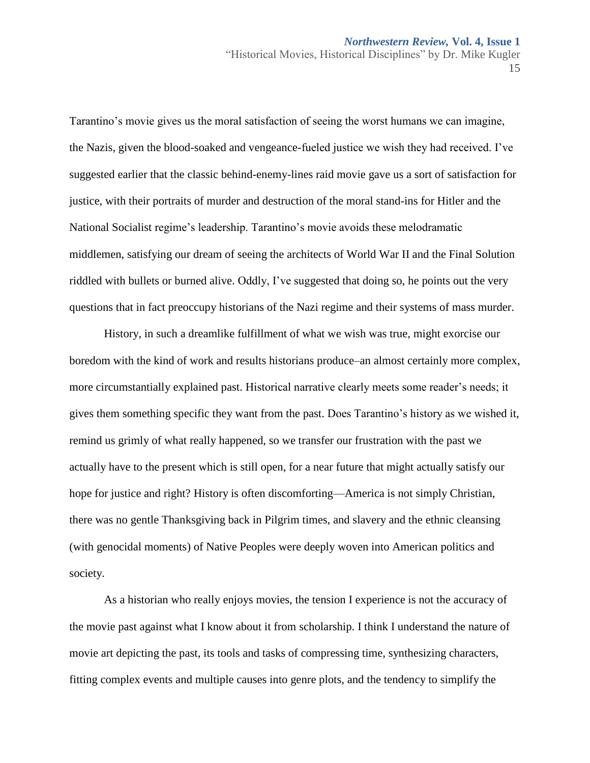"Historical Movies, Historical Disciplines" by Dr. Mike Kugler 15

Tarantino's movie gives us the moral satisfaction of seeing the worst humans we can imagine, the Nazis, given the blood-soaked and vengeance-fueled justice we wish they had received. I've suggested earlier that the classic behind-enemy-lines raid movie gave us a sort of satisfaction for justice, with their portraits of murder and destruction of the moral stand-ins for Hitler and the National Socialist regime's leadership. Tarantino's movie avoids these melodramatic middlemen, satisfying our dream of seeing the architects of World War II and the Final Solution riddled with bullets or burned alive. Oddly, I've suggested that doing so, he points out the very questions that in fact preoccupy historians of the Nazi regime and their systems of mass murder.

History, in such a dreamlike fulfillment of what we wish was true, might exorcise our boredom with the kind of work and results historians produce–an almost certainly more complex, more circumstantially explained past. Historical narrative clearly meets some reader's needs; it gives them something specific they want from the past. Does Tarantino's history as we wished it, remind us grimly of what really happened, so we transfer our frustration with the past we actually have to the present which is still open, for a near future that might actually satisfy our hope for justice and right? History is often discomforting—America is not simply Christian, there was no gentle Thanksgiving back in Pilgrim times, and slavery and the ethnic cleansing (with genocidal moments) of Native Peoples were deeply woven into American politics and society.

As a historian who really enjoys movies, the tension I experience is not the accuracy of the movie past against what I know about it from scholarship. I think I understand the nature of movie art depicting the past, its tools and tasks of compressing time, synthesizing characters, fitting complex events and multiple causes into genre plots, and the tendency to simplify the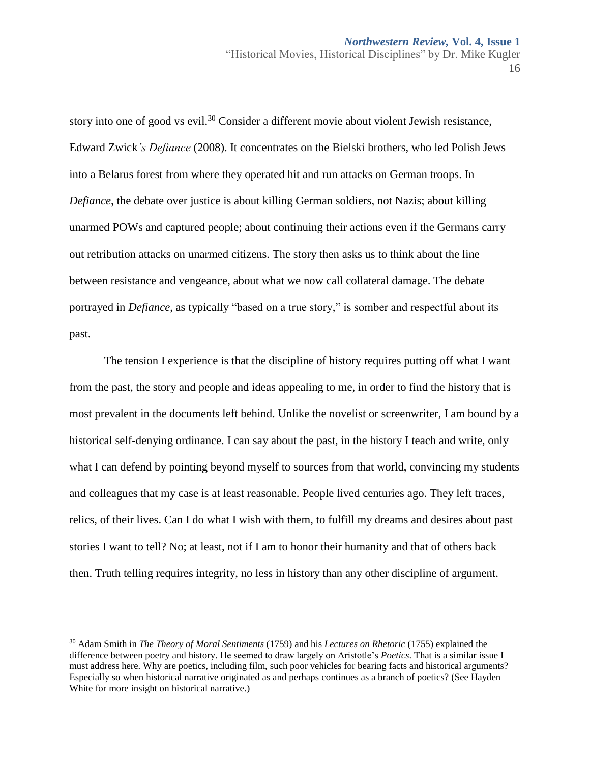story into one of good vs evil.<sup>30</sup> Consider a different movie about violent Jewish resistance, Edward Zwick*'s Defiance* (2008). It concentrates on the Bielski brothers, who led Polish Jews into a Belarus forest from where they operated hit and run attacks on German troops. In *Defiance*, the debate over justice is about killing German soldiers, not Nazis; about killing unarmed POWs and captured people; about continuing their actions even if the Germans carry out retribution attacks on unarmed citizens. The story then asks us to think about the line between resistance and vengeance, about what we now call collateral damage. The debate portrayed in *Defiance*, as typically "based on a true story," is somber and respectful about its past.

The tension I experience is that the discipline of history requires putting off what I want from the past, the story and people and ideas appealing to me, in order to find the history that is most prevalent in the documents left behind. Unlike the novelist or screenwriter, I am bound by a historical self-denying ordinance. I can say about the past, in the history I teach and write, only what I can defend by pointing beyond myself to sources from that world, convincing my students and colleagues that my case is at least reasonable. People lived centuries ago. They left traces, relics, of their lives. Can I do what I wish with them, to fulfill my dreams and desires about past stories I want to tell? No; at least, not if I am to honor their humanity and that of others back then. Truth telling requires integrity, no less in history than any other discipline of argument.

<sup>30</sup> Adam Smith in *The Theory of Moral Sentiments* (1759) and his *Lectures on Rhetoric* (1755) explained the difference between poetry and history. He seemed to draw largely on Aristotle's *Poetics*. That is a similar issue I must address here. Why are poetics, including film, such poor vehicles for bearing facts and historical arguments? Especially so when historical narrative originated as and perhaps continues as a branch of poetics? (See Hayden White for more insight on historical narrative.)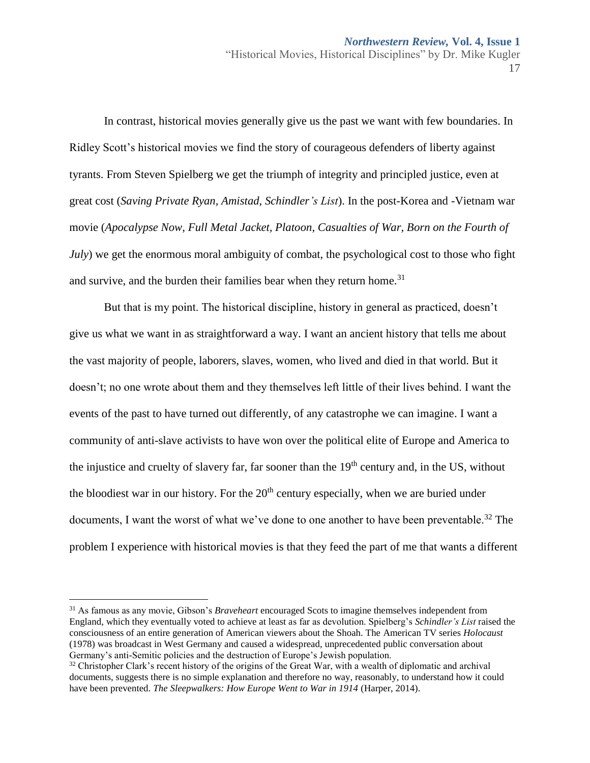In contrast, historical movies generally give us the past we want with few boundaries. In Ridley Scott's historical movies we find the story of courageous defenders of liberty against tyrants. From Steven Spielberg we get the triumph of integrity and principled justice, even at great cost (*Saving Private Ryan, Amistad, Schindler's List*). In the post-Korea and -Vietnam war movie (*Apocalypse Now, Full Metal Jacket, Platoon, Casualties of War, Born on the Fourth of July*) we get the enormous moral ambiguity of combat, the psychological cost to those who fight and survive, and the burden their families bear when they return home.<sup>31</sup>

But that is my point. The historical discipline, history in general as practiced, doesn't give us what we want in as straightforward a way. I want an ancient history that tells me about the vast majority of people, laborers, slaves, women, who lived and died in that world. But it doesn't; no one wrote about them and they themselves left little of their lives behind. I want the events of the past to have turned out differently, of any catastrophe we can imagine. I want a community of anti-slave activists to have won over the political elite of Europe and America to the injustice and cruelty of slavery far, far sooner than the  $19<sup>th</sup>$  century and, in the US, without the bloodiest war in our history. For the  $20<sup>th</sup>$  century especially, when we are buried under documents, I want the worst of what we've done to one another to have been preventable.<sup>32</sup> The problem I experience with historical movies is that they feed the part of me that wants a different

<sup>31</sup> As famous as any movie, Gibson's *Braveheart* encouraged Scots to imagine themselves independent from England, which they eventually voted to achieve at least as far as devolution. Spielberg's *Schindler's List* raised the consciousness of an entire generation of American viewers about the Shoah. The American TV series *Holocaust* (1978) was broadcast in West Germany and caused a widespread, unprecedented public conversation about Germany's anti-Semitic policies and the destruction of Europe's Jewish population.

 $32$  Christopher Clark's recent history of the origins of the Great War, with a wealth of diplomatic and archival documents, suggests there is no simple explanation and therefore no way, reasonably, to understand how it could have been prevented. *The Sleepwalkers: How Europe Went to War in 1914* (Harper, 2014).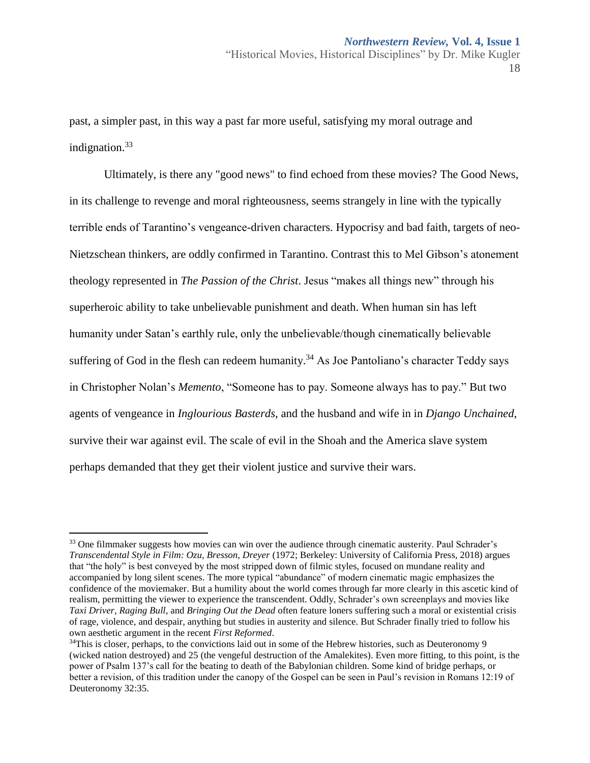past, a simpler past, in this way a past far more useful, satisfying my moral outrage and indignation.<sup>33</sup>

Ultimately, is there any "good news" to find echoed from these movies? The Good News, in its challenge to revenge and moral righteousness, seems strangely in line with the typically terrible ends of Tarantino's vengeance-driven characters. Hypocrisy and bad faith, targets of neo-Nietzschean thinkers, are oddly confirmed in Tarantino. Contrast this to Mel Gibson's atonement theology represented in *The Passion of the Christ*. Jesus "makes all things new" through his superheroic ability to take unbelievable punishment and death. When human sin has left humanity under Satan's earthly rule, only the unbelievable/though cinematically believable suffering of God in the flesh can redeem humanity.<sup>34</sup> As Joe Pantoliano's character Teddy says in Christopher Nolan's *Memento*, "Someone has to pay. Someone always has to pay." But two agents of vengeance in *Inglourious Basterds*, and the husband and wife in in *Django Unchained*, survive their war against evil. The scale of evil in the Shoah and the America slave system perhaps demanded that they get their violent justice and survive their wars.

<sup>&</sup>lt;sup>33</sup> One filmmaker suggests how movies can win over the audience through cinematic austerity. Paul Schrader's *Transcendental Style in Film: Ozu, Bresson, Dreyer* (1972; Berkeley: University of California Press, 2018) argues that "the holy" is best conveyed by the most stripped down of filmic styles, focused on mundane reality and accompanied by long silent scenes. The more typical "abundance" of modern cinematic magic emphasizes the confidence of the moviemaker. But a humility about the world comes through far more clearly in this ascetic kind of realism, permitting the viewer to experience the transcendent. Oddly, Schrader's own screenplays and movies like *Taxi Driver, Raging Bull,* and *Bringing Out the Dead* often feature loners suffering such a moral or existential crisis of rage, violence, and despair, anything but studies in austerity and silence. But Schrader finally tried to follow his own aesthetic argument in the recent *First Reformed*.

<sup>&</sup>lt;sup>34</sup>This is closer, perhaps, to the convictions laid out in some of the Hebrew histories, such as Deuteronomy 9 (wicked nation destroyed) and 25 (the vengeful destruction of the Amalekites). Even more fitting, to this point, is the power of Psalm 137's call for the beating to death of the Babylonian children. Some kind of bridge perhaps, or better a revision, of this tradition under the canopy of the Gospel can be seen in Paul's revision in Romans 12:19 of Deuteronomy 32:35.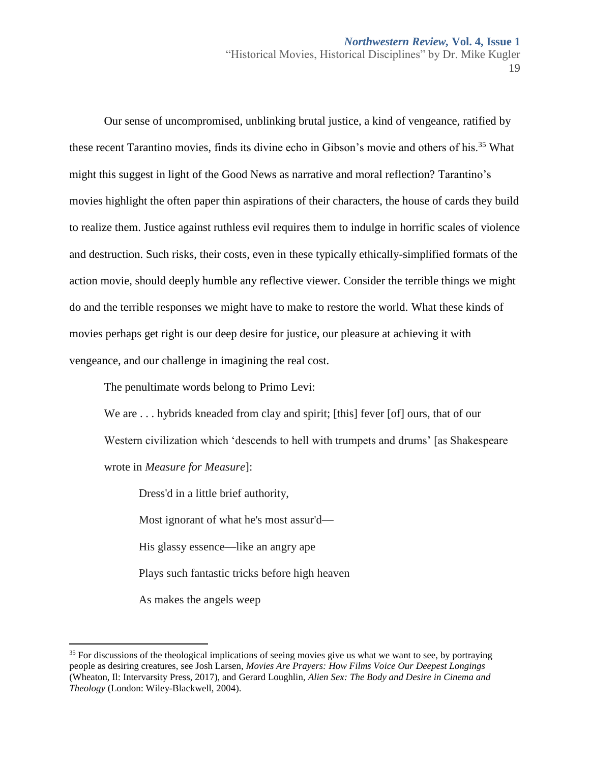Our sense of uncompromised, unblinking brutal justice, a kind of vengeance, ratified by these recent Tarantino movies, finds its divine echo in Gibson's movie and others of his.<sup>35</sup> What might this suggest in light of the Good News as narrative and moral reflection? Tarantino's movies highlight the often paper thin aspirations of their characters, the house of cards they build to realize them. Justice against ruthless evil requires them to indulge in horrific scales of violence and destruction. Such risks, their costs, even in these typically ethically-simplified formats of the action movie, should deeply humble any reflective viewer. Consider the terrible things we might do and the terrible responses we might have to make to restore the world. What these kinds of movies perhaps get right is our deep desire for justice, our pleasure at achieving it with vengeance, and our challenge in imagining the real cost.

The penultimate words belong to Primo Levi:

We are ... hybrids kneaded from clay and spirit; [this] fever [of] ours, that of our Western civilization which 'descends to hell with trumpets and drums' [as Shakespeare wrote in *Measure for Measure*]:

Dress'd in a little brief authority,

Most ignorant of what he's most assur'd—

His glassy essence—like an angry ape

Plays such fantastic tricks before high heaven

As makes the angels weep

<sup>&</sup>lt;sup>35</sup> For discussions of the theological implications of seeing movies give us what we want to see, by portraying people as desiring creatures, see Josh Larsen, *Movies Are Prayers: How Films Voice Our Deepest Longings* (Wheaton, Il: Intervarsity Press, 2017), and Gerard Loughlin, *Alien Sex: The Body and Desire in Cinema and Theology* (London: Wiley-Blackwell, 2004).